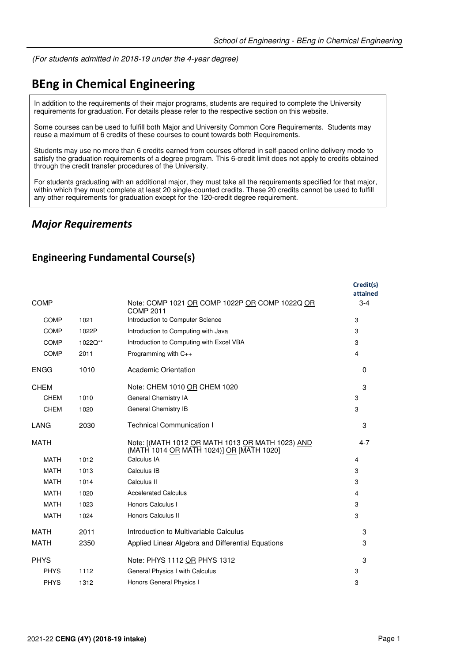(For students admitted in 2018-19 under the 4-year degree)

# **BEng in Chemical Engineering**

In addition to the requirements of their major programs, students are required to complete the University requirements for graduation. For details please refer to the respective section on this website.

Some courses can be used to fulfill both Major and University Common Core Requirements. Students may reuse a maximum of 6 credits of these courses to count towards both Requirements.

Students may use no more than 6 credits earned from courses offered in self-paced online delivery mode to satisfy the graduation requirements of a degree program. This 6-credit limit does not apply to credits obtained through the credit transfer procedures of the University.

For students graduating with an additional major, they must take all the requirements specified for that major, within which they must complete at least 20 single-counted credits. These 20 credits cannot be used to fulfill any other requirements for graduation except for the 120-credit degree requirement.

### *Major Requirements*

#### **Engineering Fundamental Course(s)**

|             |         |                                                                                              | Credit(s)<br>attained |
|-------------|---------|----------------------------------------------------------------------------------------------|-----------------------|
| <b>COMP</b> |         | Note: COMP 1021 OR COMP 1022P OR COMP 1022Q OR<br><b>COMP 2011</b>                           | $3 - 4$               |
| <b>COMP</b> | 1021    | Introduction to Computer Science                                                             | 3                     |
| COMP        | 1022P   | Introduction to Computing with Java                                                          | 3                     |
| COMP        | 1022Q** | Introduction to Computing with Excel VBA                                                     | 3                     |
| COMP        | 2011    | Programming with C++                                                                         | 4                     |
| <b>ENGG</b> | 1010    | Academic Orientation                                                                         | $\Omega$              |
| <b>CHEM</b> |         | Note: CHEM 1010 OR CHEM 1020                                                                 | 3                     |
| <b>CHEM</b> | 1010    | General Chemistry IA                                                                         | 3                     |
| <b>CHEM</b> | 1020    | General Chemistry IB                                                                         | 3                     |
| LANG        | 2030    | <b>Technical Communication I</b>                                                             | 3                     |
| <b>MATH</b> |         | Note: [(MATH 1012 OR MATH 1013 OR MATH 1023) AND<br>(MATH 1014 OR MATH 1024)] OR [MATH 1020] | $4 - 7$               |
| <b>MATH</b> | 1012    | Calculus IA                                                                                  | 4                     |
| <b>MATH</b> | 1013    | Calculus IB                                                                                  | 3                     |
| <b>MATH</b> | 1014    | Calculus II                                                                                  | 3                     |
| <b>MATH</b> | 1020    | <b>Accelerated Calculus</b>                                                                  | 4                     |
| <b>MATH</b> | 1023    | Honors Calculus I                                                                            | 3                     |
| <b>MATH</b> | 1024    | Honors Calculus II                                                                           | 3                     |
| <b>MATH</b> | 2011    | Introduction to Multivariable Calculus                                                       | 3                     |
| <b>MATH</b> | 2350    | Applied Linear Algebra and Differential Equations                                            | 3                     |
| <b>PHYS</b> |         | Note: PHYS 1112 OR PHYS 1312                                                                 | 3                     |
| <b>PHYS</b> | 1112    | General Physics I with Calculus                                                              | 3                     |
| <b>PHYS</b> | 1312    | Honors General Physics I                                                                     | 3                     |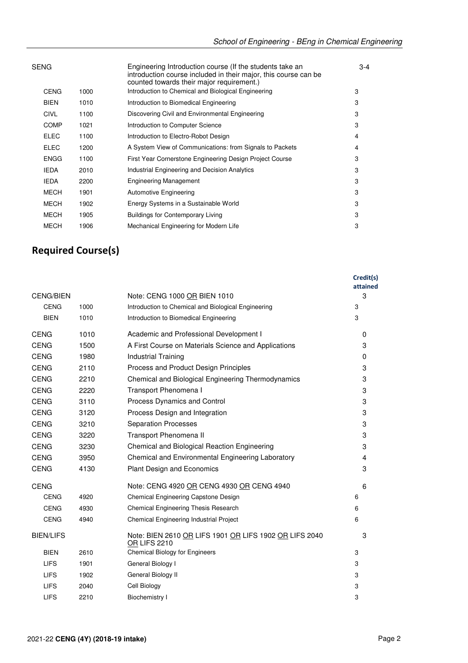| SENG        |      | Engineering Introduction course (If the students take an<br>introduction course included in their major, this course can be<br>counted towards their major requirement.) | $3 - 4$ |
|-------------|------|--------------------------------------------------------------------------------------------------------------------------------------------------------------------------|---------|
| <b>CENG</b> | 1000 | Introduction to Chemical and Biological Engineering                                                                                                                      | 3       |
| <b>BIEN</b> | 1010 | Introduction to Biomedical Engineering                                                                                                                                   | 3       |
| <b>CIVL</b> | 1100 | Discovering Civil and Environmental Engineering                                                                                                                          | 3       |
| <b>COMP</b> | 1021 | Introduction to Computer Science                                                                                                                                         | 3       |
| <b>ELEC</b> | 1100 | Introduction to Electro-Robot Design                                                                                                                                     | 4       |
| <b>ELEC</b> | 1200 | A System View of Communications: from Signals to Packets                                                                                                                 | 4       |
| <b>ENGG</b> | 1100 | First Year Cornerstone Engineering Design Project Course                                                                                                                 | 3       |
| <b>IEDA</b> | 2010 | Industrial Engineering and Decision Analytics                                                                                                                            | 3       |
| <b>IEDA</b> | 2200 | <b>Engineering Management</b>                                                                                                                                            | 3       |
| MECH        | 1901 | Automotive Engineering                                                                                                                                                   | 3       |
| <b>MECH</b> | 1902 | Energy Systems in a Sustainable World                                                                                                                                    | 3       |
| <b>MECH</b> | 1905 | <b>Buildings for Contemporary Living</b>                                                                                                                                 | 3       |
| <b>MECH</b> | 1906 | Mechanical Engineering for Modern Life                                                                                                                                   | 3       |
|             |      |                                                                                                                                                                          |         |

# **Required Course(s)**

|                  |      |                                                                               | Credit(s)<br>attained |
|------------------|------|-------------------------------------------------------------------------------|-----------------------|
| <b>CENG/BIEN</b> |      | Note: CENG 1000 OR BIEN 1010                                                  | 3                     |
| <b>CENG</b>      | 1000 | Introduction to Chemical and Biological Engineering                           | 3                     |
| <b>BIEN</b>      | 1010 | Introduction to Biomedical Engineering                                        | 3                     |
| <b>CENG</b>      | 1010 | Academic and Professional Development I                                       | 0                     |
| <b>CENG</b>      | 1500 | A First Course on Materials Science and Applications                          | 3                     |
| <b>CENG</b>      | 1980 | Industrial Training                                                           | $\mathbf 0$           |
| <b>CENG</b>      | 2110 | Process and Product Design Principles                                         | 3                     |
| <b>CENG</b>      | 2210 | Chemical and Biological Engineering Thermodynamics                            | 3                     |
| <b>CENG</b>      | 2220 | Transport Phenomena I                                                         | 3                     |
| <b>CENG</b>      | 3110 | Process Dynamics and Control                                                  | 3                     |
| <b>CENG</b>      | 3120 | Process Design and Integration                                                | 3                     |
| <b>CENG</b>      | 3210 | <b>Separation Processes</b>                                                   | 3                     |
| <b>CENG</b>      | 3220 | Transport Phenomena II                                                        | 3                     |
| <b>CENG</b>      | 3230 | Chemical and Biological Reaction Engineering                                  | 3                     |
| <b>CENG</b>      | 3950 | Chemical and Environmental Engineering Laboratory                             | $\overline{4}$        |
| <b>CENG</b>      | 4130 | <b>Plant Design and Economics</b>                                             | 3                     |
| <b>CENG</b>      |      | Note: CENG 4920 OR CENG 4930 OR CENG 4940                                     | 6                     |
| <b>CENG</b>      | 4920 | Chemical Engineering Capstone Design                                          | 6                     |
| <b>CENG</b>      | 4930 | Chemical Engineering Thesis Research                                          | 6                     |
| <b>CENG</b>      | 4940 | Chemical Engineering Industrial Project                                       | 6                     |
| <b>BIEN/LIFS</b> |      | Note: BIEN 2610 OR LIFS 1901 OR LIFS 1902 OR LIFS 2040<br><b>OR LIFS 2210</b> | 3                     |
| <b>BIEN</b>      | 2610 | <b>Chemical Biology for Engineers</b>                                         | 3                     |
| <b>LIFS</b>      | 1901 | General Biology I                                                             | 3                     |
| <b>LIFS</b>      | 1902 | General Biology II                                                            | 3                     |
| <b>LIFS</b>      | 2040 | Cell Biology                                                                  | 3                     |
| <b>LIFS</b>      | 2210 | <b>Biochemistry I</b>                                                         | 3                     |